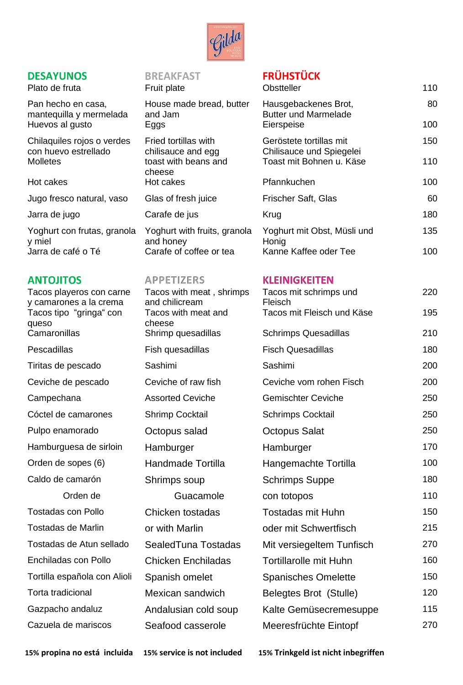

## **DESAYUNOS**

Plato de fruta Fruit plate

## **ANTOJITOS**

Tacos playeros con carne y camarones a la crema Tacos tipo "gringa" con queso Camaronillas Shrimp quesadillas Pescadillas Fish quesadillas Tiritas de pescado Sashimi Ceviche de pescado Ceviche of raw fish Campechana Assorted Ceviche Cóctel de camarones Shrimp Cocktail Pulpo enamorado **Octopus salad** Hamburguesa de sirloin Hamburger Orden de sopes (6) Handmade Tortilla Caldo de camarón Shrimps soup Tostadas con Pollo Chicken tostadas Tostadas de Marlin **or with Marlin** Tostadas de Atun sellado SealedTuna Tostadas Enchiladas con Pollo Chicken Enchiladas Tortilla española con Alioli Spanish omelet Torta tradicional Mexican sandwich Gazpacho andaluz **Andalusian cold soup** Cazuela de mariscos Seafood casserole

### **BREAKFAST**

| House made bread, butter |
|--------------------------|
| and Jam                  |
| Eggs                     |
| Fried tortillas with     |

Tacos with meat , shrimps and chilicream Tacos with meat and cheese Orden de Guacamole

# **FRÜHSTÜCK**

| Plato de fruta                                                   | Fruit plate                                 | Obstteller                                                        | 110       |
|------------------------------------------------------------------|---------------------------------------------|-------------------------------------------------------------------|-----------|
| Pan hecho en casa,<br>mantequilla y mermelada<br>Huevos al gusto | House made bread, butter<br>and Jam<br>Eggs | Hausgebackenes Brot,<br><b>Butter und Marmelade</b><br>Eierspeise | 80<br>100 |
|                                                                  |                                             |                                                                   |           |
| Chilaquiles rojos o verdes<br>con huevo estrellado               | Fried tortillas with<br>chilisauce and egg  | Geröstete tortillas mit<br>Chilisauce und Spiegelei               | 150       |
| Molletes                                                         | toast with beans and<br>cheese              | Toast mit Bohnen u. Käse                                          | 110       |
| Hot cakes                                                        | Hot cakes                                   | Pfannkuchen                                                       | 100       |
| Jugo fresco natural, vaso                                        | Glas of fresh juice                         | Frischer Saft, Glas                                               | 60        |
| Jarra de jugo                                                    | Carafe de jus                               | Krug                                                              | 180       |
| Yoghurt con frutas, granola<br>y miel                            | Yoghurt with fruits, granola<br>and honey   | Yoghurt mit Obst, Müsli und<br>Honig                              | 135       |
| Jarra de café o Té                                               | Carafe of coffee or tea                     | Kanne Kaffee oder Tee                                             | 100       |
|                                                                  |                                             |                                                                   |           |

#### **APPETIZERS KLEINIGKEITEN**

| Tacos mit schrimps und<br>Fleisch | 220 |
|-----------------------------------|-----|
| Tacos mit Fleisch und Käse        | 195 |
| <b>Schrimps Quesadillas</b>       | 210 |
| <b>Fisch Quesadillas</b>          | 180 |
| Sashimi                           | 200 |
| Ceviche vom rohen Fisch           | 200 |
| <b>Gemischter Ceviche</b>         | 250 |
| <b>Schrimps Cocktail</b>          | 250 |
| <b>Octopus Salat</b>              | 250 |
| Hamburger                         | 170 |
| Hangemachte Tortilla              | 100 |
| <b>Schrimps Suppe</b>             | 180 |
| con totopos                       | 110 |
| <b>Tostadas mit Huhn</b>          | 150 |
| oder mit Schwertfisch             | 215 |
| Mit versiegeltem Tunfisch         | 270 |
| <b>Tortillarolle mit Huhn</b>     | 160 |
| <b>Spanisches Omelette</b>        | 150 |
| Belegtes Brot (Stulle)            | 120 |
| Kalte Gemüsecremesuppe            | 115 |
| Meeresfrüchte Eintopf             | 270 |

**15% propina no está incluida 15% service is not included 15% Trinkgeld ist nicht inbegriffen**